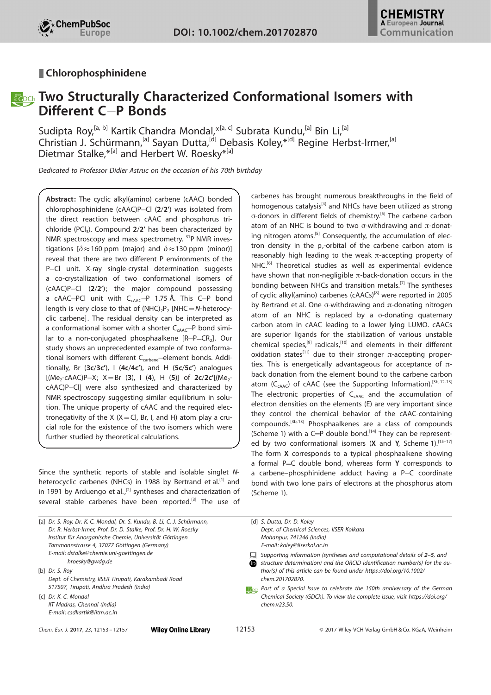

### **■ Chlorophosphinidene**

## **Righch** Two Structurally Characterized Conformational Isomers with Different C-P Bonds

Sudipta Roy,<sup>[a, b]</sup> [Kartik](http://orcid.org/0000-0003-3647-5799) [Chandra](http://orcid.org/0000-0003-3647-5799) Mondal,\*<sup>[a, c]</sup> [Subrata](http://orcid.org/0000-0002-2308-5452) Kundu,<sup>[a]</sup> Bin Li,<sup>[a]</sup> Christian J. Schürmann, <sup>[a]</sup> Sayan Dutta, <sup>[d]</sup> [Debasis](http://orcid.org/0000-0002-7912-3972) Koley, \*<sup>[d]</sup> [Regine Herbst-Irmer,](http://orcid.org/0000-0003-1700-4369) <sup>[a]</sup> [Dietmar](http://orcid.org/0000-0003-4392-5751) Stalke, \*<sup>[a]</sup> and [Herbert W. Roesky](http://orcid.org/0000-0003-4454-1434)<sup>\*[a]</sup>

Dedicated to Professor Didier Astruc on the occasion of his 70th birthday

Abstract: The cyclic alkyl(amino) carbene (cAAC) bonded chlorophosphinidene (cAAC)P-Cl  $(2/2')$  was isolated from the direct reaction between cAAC and phosphorus trichloride (PCI<sub>3</sub>). Compound 2/2' has been characterized by NMR spectroscopy and mass spectrometry. <sup>31</sup>P NMR investigations  $\delta \approx 160$  ppm (major) and  $\delta \approx 130$  ppm (minor)] reveal that there are two different P environments of the P-Cl unit. X-ray single-crystal determination suggests a co-crystallization of two conformational isomers of  $(cAAC)P - CI$  (2/2'); the major compound possessing a cAAC-PCl unit with  $C_{cAAC}$ -P 1.75 Å. This C-P bond length is very close to that of  $(NHC)_{2}P_{2}$  [NHC  $=N$ -heterocyclic carbene]. The residual density can be interpreted as a conformational isomer with a shorter  $C_{cAAC}$ -P bond similar to a non-conjugated phosphaalkene  $[R-P=CR_2]$ . Our study shows an unprecedented example of two conformational isomers with different C<sub>carbene</sub>-element bonds. Additionally, Br  $(3c/3c')$ , I  $(4c/4c')$ , and H  $(5c/5c')$  analogues [(Me<sub>2</sub>-cAAC)P-X;  $X = Br$  (3), I (4), H (5)] of 2c/2c'[(Me<sub>2</sub>cAAC)P-Cl] were also synthesized and characterized by NMR spectroscopy suggesting similar equilibrium in solution. The unique property of cAAC and the required electronegativity of the X  $(X=Cl, Br, I, and H)$  atom play a crucial role for the existence of the two isomers which were further studied by theoretical calculations.

Since the synthetic reports of stable and isolable singlet Nheterocyclic carbenes (NHCs) in 1988 by Bertrand et al.<sup>[1]</sup> and in 1991 by Arduengo et al.,<sup>[2]</sup> syntheses and characterization of several stable carbenes have been reported.<sup>[3]</sup> The use of carbenes has brought numerous breakthroughs in the field of homogenous catalysis<sup>[4]</sup> and NHCs have been utilized as strong s-donors in different fields of chemistry. [5] The carbene carbon atom of an NHC is bound to two  $\sigma$ -withdrawing and  $\pi$ -donating nitrogen atoms.<sup>[5]</sup> Consequently, the accumulation of electron density in the  $p_z$ -orbital of the carbene carbon atom is reasonably high leading to the weak  $\pi$ -accepting property of NHC.<sup>[6]</sup> Theoretical studies as well as experimental evidence have shown that non-negligible  $\pi$ -back-donation occurs in the bonding between NHCs and transition metals.[7] The syntheses of cyclic alkyl(amino) carbenes (cAACs)<sup>[8]</sup> were reported in 2005 by Bertrand et al. One  $\sigma$ -withdrawing and  $\pi$ -donating nitrogen atom of an NHC is replaced by a  $\sigma$ -donating quaternary carbon atom in cAAC leading to a lower lying LUMO. cAACs are superior ligands for the stabilization of various unstable chemical species,<sup>[9]</sup> radicals,<sup>[10]</sup> and elements in their different oxidation states<sup>[11]</sup> due to their stronger  $\pi$ -accepting properties. This is energetically advantageous for acceptance of  $\pi$ back donation from the element bound to the carbene carbon atom ( $C_{cAAC}$ ) of cAAC (see the Supporting Information).<sup>[3b,12,13]</sup> The electronic properties of  $C_{cAAC}$  and the accumulation of electron densities on the elements (E) are very important since they control the chemical behavior of the cAAC-containing compounds.[3b,13] Phosphaalkenes are a class of compounds (Scheme 1) with a C=P double bond.<sup>[14]</sup> They can be represented by two conformational isomers  $(X \text{ and } Y, \text{ Scheme } 1).^{[15-17]}$ The form X corresponds to a typical phosphaalkene showing a formal P $=$ C double bond, whereas form Y corresponds to a carbene–phosphinidene adduct having a  $P-C$  coordinate bond with two lone pairs of electrons at the phosphorus atom (Scheme 1).

| [a] Dr. S. Roy, Dr. K. C. Mondal, Dr. S. Kundu, B. Li, C. J. Schürmann,<br>Dr. R. Herbst-Irmer, Prof. Dr. D. Stalke, Prof. Dr. H. W. Roesky<br>Institut für Anorganische Chemie, Universität Göttingen<br>Tammannstrasse 4, 37077 Göttingen (Germany)<br>E-mail: dstalke@chemie.uni-goettingen.de<br>hroesky@gwdg.de<br>$[b]$ Dr. S. Roy<br>Dept. of Chemistry, IISER Tirupati, Karakambadi Road<br>517507, Tirupati, Andhra Pradesh (India)<br>[c] Dr. K. C. Mondal<br>IIT Madras, Chennai (India)<br>E-mail: csdkartik@iitm.ac.in |                             | ᆜ<br>(D | [d] S. Dutta, Dr. D. Koley<br>Dept. of Chemical Sciences, IISER Kolkata<br>Mohanpur, 741246 (India)<br>E-mail: koley@iiserkol.ac.in<br>Supporting information (syntheses and computational details of 2-5, and<br>structure determination) and the ORCID identification number(s) for the au-<br>thor(s) of this article can be found under https://doi.org/10.1002/<br>chem.201702870.<br><b>Root</b> Part of a Special Issue to celebrate the 150th anniversary of the German<br>Chemical Society (GDCh). To view the complete issue, visit https://doi.org/<br>chem.v23.50. |
|-------------------------------------------------------------------------------------------------------------------------------------------------------------------------------------------------------------------------------------------------------------------------------------------------------------------------------------------------------------------------------------------------------------------------------------------------------------------------------------------------------------------------------------|-----------------------------|---------|--------------------------------------------------------------------------------------------------------------------------------------------------------------------------------------------------------------------------------------------------------------------------------------------------------------------------------------------------------------------------------------------------------------------------------------------------------------------------------------------------------------------------------------------------------------------------------|
| Chem. Eur. J. 2017, 23, 12153 - 12157                                                                                                                                                                                                                                                                                                                                                                                                                                                                                               | <b>Wiley Online Library</b> | 12153   | © 2017 Wiley-VCH Verlag GmbH & Co. KGaA, Weinheim                                                                                                                                                                                                                                                                                                                                                                                                                                                                                                                              |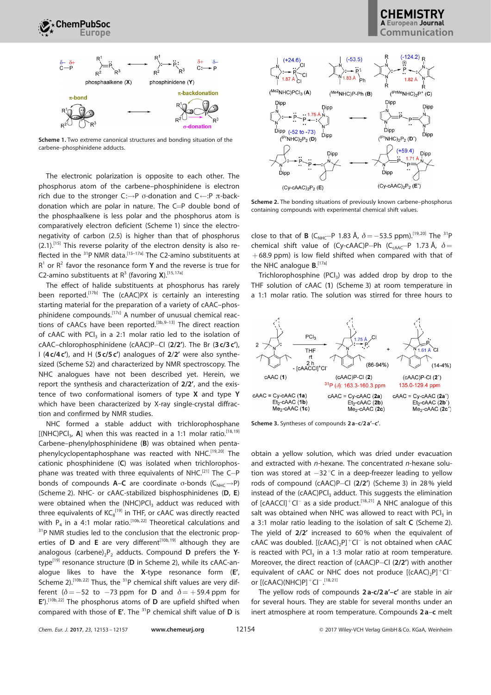

Scheme 1. Two extreme canonical structures and bonding situation of the carbene–phosphinidene adducts.

The electronic polarization is opposite to each other. The phosphorus atom of the carbene–phosphinidene is electron rich due to the stronger  $C:\rightarrow P$  o-donation and  $C\leftarrow P$   $\pi$ -backdonation which are polar in nature. The  $C=P$  double bond of the phosphaalkene is less polar and the phosphorus atom is comparatively electron deficient (Scheme 1) since the electronegativity of carbon (2.5) is higher than that of phosphorus  $(2.1)$ .<sup>[15]</sup> This reverse polarity of the electron density is also reflected in the <sup>31</sup>P NMR data.<sup>[15-17a]</sup> The C2-amino substituents at  $R<sup>1</sup>$  or  $R<sup>2</sup>$  favor the resonance form **Y** and the reverse is true for C2-amino substituents at  $R^3$  (favoring X).<sup>[15, 17a]</sup>

The effect of halide substituents at phosphorus has rarely been reported.<sup>[17b]</sup> The (cAAC)PX is certainly an interesting starting material for the preparation of a variety of cAAC–phosphinidene compounds.<sup>[17c]</sup> A number of unusual chemical reactions of cAACs have been reported.<sup>[3b,9-13]</sup> The direct reaction of cAAC with  $\text{PCI}_3$  in a 2:1 molar ratio led to the isolation of cAAC–chlorophosphinidene (cAAC)P–Cl  $(2/2')$ . The Br  $(3 c/3 c')$ , I ( $4c/4c'$ ), and H ( $5c/5c'$ ) analogues of  $2/2'$  were also synthesized (Scheme S2) and characterized by NMR spectroscopy. The NHC analogues have not been described yet. Herein, we report the synthesis and characterization of 2/2', and the existence of two conformational isomers of type X and type Y which have been characterized by X-ray single-crystal diffraction and confirmed by NMR studies.

NHC formed a stable adduct with trichlorophosphane [(NHC)PC $I_3$ , A] when this was reacted in a 1:1 molar ratio.<sup>[18, 19]</sup> Carbene–phenylphosphinidene (B) was obtained when pentaphenylcyclopentaphosphane was reacted with NHC.<sup>[19,20]</sup> The cationic phosphinidene (C) was isolated when trichlorophosphane was treated with three equivalents of NHC.<sup>[21]</sup> The C-P bonds of compounds  $A-C$  are coordinate  $\sigma$ -bonds ( $C_{NHC} \rightarrow P$ ) (Scheme 2). NHC- or cAAC-stabilized bisphosphinidenes (D, E) were obtained when the (NHC)PCI<sub>3</sub> adduct was reduced with three equivalents of  $\mathsf{KC}_8^{\{19\}}$  in THF, or cAAC was directly reacted with  $P_4$  in a 4:1 molar ratio.<sup>[10b,22]</sup> Theoretical calculations and <sup>31</sup>P NMR studies led to the conclusion that the electronic properties of **D** and **E** are very different<sup>[10b, 19] although they are</sup> analogous (carbene)<sub>2</sub>P<sub>2</sub> adducts. Compound **D** prefers the Ytype $^{[19]}$  resonance structure (D in Scheme 2), while its cAAC-analogue likes to have the X-type resonance form (E', Scheme 2).<sup>[10b,22]</sup> Thus, the <sup>31</sup>P chemical shift values are very different ( $\delta = -52$  to  $-73$  ppm for **D** and  $\delta = +59.4$  ppm for  $E'$ ).<sup>[10b, 22]</sup> The phosphorus atoms of **D** are upfield shifted when compared with those of  $E'$ . The <sup>31</sup>P chemical shift value of  $D$  is

# Communication



Scheme 2. The bonding situations of previously known carbene–phosphorus containing compounds with experimental chemical shift values.

close to that of **B** (C<sub>NHC</sub>-P 1.83 Å,  $\delta = -53.5$  ppm).<sup>[19,20]</sup> The <sup>31</sup>P chemical shift value of (Cy-cAAC)P-Ph (C<sub>CAAC</sub>-P 1.73 Å,  $\delta$  =  $+68.9$  ppm) is low field shifted when compared with that of the NHC analogue **B.**<sup>[17a]</sup>

Trichlorophosphine  $(PCI_3)$  was added drop by drop to the THF solution of cAAC (1) (Scheme 3) at room temperature in a 1:1 molar ratio. The solution was stirred for three hours to



Scheme 3. Syntheses of compounds 2 a–c/2 a'–c'.

obtain a yellow solution, which was dried under evacuation and extracted with n-hexane. The concentrated n-hexane solution was stored at  $-32^{\circ}C$  in a deep-freezer leading to yellow rods of compound (cAAC)P-Cl (2/2') (Scheme 3) in 28% yield instead of the (cAAC)PCl<sub>3</sub> adduct. This suggests the elimination of [cAACCl]<sup>+</sup>Cl<sup>-</sup> as a side product.<sup>[18,21]</sup> A NHC analogue of this salt was obtained when NHC was allowed to react with  $\text{PCI}_3$  in a 3:1 molar ratio leading to the isolation of salt C (Scheme 2). The yield of 2/2' increased to 60% when the equivalent of  $c$ AAC was doubled.  $[(c)$ AAC)<sub>2</sub>P]<sup>+</sup>Cl<sup>-</sup> is not obtained when cAAC is reacted with  $\text{PCI}_3$  in a 1:3 molar ratio at room temperature. Moreover, the direct reaction of (cAAC)P-Cl  $(2/2')$  with another equivalent of cAAC or NHC does not produce  $[(cAAC)<sub>2</sub>P]<sup>+</sup>Cl$ or  $[(cAAC)(NHC)P]$ <sup>+</sup>Cl<sup>-</sup>.<sup>[18,21]</sup>

The yellow rods of compounds 2a-c/2a'-c' are stable in air for several hours. They are stable for several months under an inert atmosphere at room temperature. Compounds 2a-c melt

|  |  |  |  | Chem. Eur. J. 2017, 23, 12153 - 12157 |  |
|--|--|--|--|---------------------------------------|--|
|--|--|--|--|---------------------------------------|--|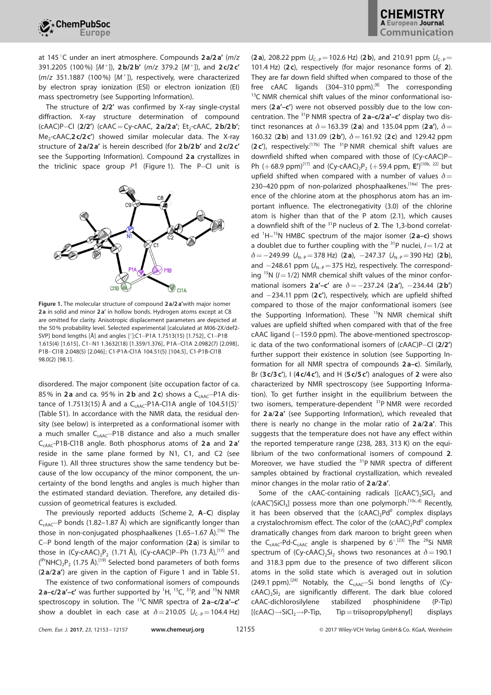

at 145 $\degree$ C under an inert atmosphere. Compounds 2a/2a' (m/z 391.2205 (100%) [M<sup>+</sup>]), 2b/2b' (m/z 379.2 [M<sup>+</sup>]), and 2c/2c'  $(m/z$  351.1887 (100%)  $[M^+]$ ), respectively, were characterized by electron spray ionization (ESI) or electron ionization (EI) mass spectrometry (see Supporting Information).

The structure of 2/2' was confirmed by X-ray single-crystal diffraction. X-ray structure determination of compound (cAAC)P-Cl (2/2') (cAAC = Cy-cAAC, 2 a/2 a'; Et<sub>2</sub>-cAAC, 2 b/2 b'; Me<sub>2</sub>-cAAC,2 c/2 c') showed similar molecular data. The X-ray structure of 2 a/2a' is herein described (for 2 b/2b' and 2 c/2c' see the Supporting Information). Compound 2 a crystallizes in the triclinic space group  $P\bar{1}$  (Figure 1). The P-Cl unit is



Figure 1. The molecular structure of compound 2 a/2 a'with major isomer 2a in solid and minor 2a' in hollow bonds. Hydrogen atoms except at C8 are omitted for clarity. Anisotropic displacement parameters are depicted at the 50% probability level. Selected experimental [calculated at M06-2X/def2- SVP] bond lengths [Å] and angles [°]:C1-P1A 1.7513(15) [1.752], C1-P1B 1.615(4) [1.615], C1@N1 1.3632(18) [1.359/1.376], P1A@Cl1A 2.0982(7) [2.098], P1B@Cl1B 2.048(5) [2.046]; C1-P1A-Cl1A 104.51(5) [104.5], C1-P1B-Cl1B 98.0(2) [98.1].

disordered. The major component (site occupation factor of ca. 85% in 2a and ca. 95% in 2b and 2c) shows a  $C_{cAA}$ -P1A distance of 1.7513(15) Å and a C<sub>CAAC</sub>-P1A-Cl1A angle of 104.51(5)° (Table S1). In accordance with the NMR data, the residual density (see below) is interpreted as a conformational isomer with a much smaller  $C_{cAAC}$ -P1B distance and also a much smaller CcAAC-P1B-Cl1B angle. Both phosphorus atoms of 2 a and 2 a' reside in the same plane formed by N1, C1, and C2 (see Figure 1). All three structures show the same tendency but because of the low occupancy of the minor component, the uncertainty of the bond lengths and angles is much higher than the estimated standard deviation. Therefore, any detailed discussion of geometrical features is excluded.

The previously reported adducts (Scheme 2, A–C) display  $C_{cAA}$ <sup>-</sup>P bonds (1.82–1.87 Å) which are significantly longer than those in non-conjugated phosphaalkenes  $(1.65-1.67 \text{ Å})$ .<sup>[16]</sup> The C-P bond length of the major conformation  $(2a)$  is similar to those in  $(Cy - cAAC)_{2}P_{2}$  (1.71 Å),  $(Cy - cAAC)P - Ph$  (1.73 Å),<sup>[17]</sup> and  $($ <sup>IPr</sup>NHC)<sub>2</sub>P<sub>2</sub> (1.75 Å).<sup>[19]</sup> Selected bond parameters of both forms (2 a/2 a') are given in the caption of Figure 1 and in Table S1.

The existence of two conformational isomers of compounds 2a-c/2a'-c' was further supported by  ${}^{1}H$ ,  ${}^{13}C$ ,  ${}^{31}P$ , and  ${}^{15}N$  NMR spectroscopy in solution. The  $^{13}$ C NMR spectra of 2a-c/2a'-c' show a doublet in each case at  $\delta = 210.05$  (J<sub>C-P</sub>=104.4 Hz)

(2 a), 208.22 ppm  $(J_{C-P}=102.6 \text{ Hz})$  (2 b), and 210.91 ppm  $(J_{C-P}=102.6 \text{ Hz})$ 101.4 Hz) (2c), respectively (for major resonance forms of 2). They are far down field shifted when compared to those of the free cAAC ligands  $(304-310 \text{ ppm})$ .<sup>[8]</sup> The corresponding  $13$ C NMR chemical shift values of the minor conformational isomers (2a'-c') were not observed possibly due to the low concentration. The  $31P$  NMR spectra of  $2a-c/2a'-c'$  display two distinct resonances at  $\delta$  = 163.39 (2 a) and 135.04 ppm (2 a'),  $\delta$  = 160.32 (2b) and 131.09 (2b'),  $\delta$  = 161.92 (2c) and 129.42 ppm  $(2c')$ , respectively.<sup>[17b]</sup> The <sup>31</sup>P NMR chemical shift values are downfield shifted when compared with those of (Cy-cAAC)P-Ph  $(+68.9 \text{ ppm})^{[17]}$  and  $(Cy-\text{cAAC})_2P_2 (+59.4 \text{ ppm}, E')^{[10b, 22]}$  but upfield shifted when compared with a number of values  $\delta$  = 230–420 ppm of non-polarized phosphaalkenes.<sup>[16a]</sup> The presence of the chlorine atom at the phosphorus atom has an important influence. The electronegativity (3.0) of the chlorine atom is higher than that of the P atom (2.1), which causes a downfield shift of the <sup>31</sup>P nucleus of 2. The 1,3-bond correlated  ${}^{1}$ H $-{}^{15}N$  HMBC spectrum of the major isomer (2 a–c) shows a doublet due to further coupling with the <sup>31</sup>P nuclei,  $I=1/2$  at  $\delta = -249.99$  ( $J_{N-P} = 378$  Hz) (2 a),  $-247.37$  ( $J_{N-P} = 390$  Hz) (2 b), and  $-248.61$  ppm ( $J_{N-P}$ =375 Hz), respectively. The corresponding <sup>15</sup>N ( $l=1/2$ ) NMR chemical shift values of the minor conformational isomers  $2a'-c'$  are  $\delta = -237.24$  ( $2a'$ ),  $-234.44$  ( $2b'$ ) and  $-234.11$  ppm (2c'), respectively, which are upfield shifted compared to those of the major conformational isomers (see the Supporting Information). These <sup>15</sup>N NMR chemical shift values are upfield shifted when compared with that of the free  $c$ AAC ligand  $(-159.0$  ppm). The above-mentioned spectroscopic data of the two conformational isomers of  $(cAAC)P-Cl$  (2/2') further support their existence in solution (see Supporting Information for all NMR spectra of compounds 2 a–c). Similarly, Br  $(3 c/3 c')$ , I  $(4 c/4 c')$ , and H  $(5 c/5 c')$  analogues of 2 were also characterized by NMR spectroscopy (see Supporting Information). To get further insight in the equilibrium between the two isomers, temperature-dependent <sup>31</sup>P NMR were recorded for 2 a/2 a' (see Supporting Information), which revealed that there is nearly no change in the molar ratio of  $2a/2a'$ . This suggests that the temperature does not have any effect within the reported temperature range (238, 283, 313 K) on the equilibrium of the two conformational isomers of compound 2. Moreover, we have studied the  $31P$  NMR spectra of different samples obtained by fractional crystallization, which revealed minor changes in the molar ratio of 2 a/2 a'.

Some of the cAAC-containing radicals  $[(cAAC^*)_2SiC]_2$  and  $(cAAC)SiCl<sub>3</sub>$ ] possess more than one polymorph.<sup>[10c,d]</sup> Recently, it has been observed that the  $(cAAC)_2Pd^0$  complex displays a crystalochromism effect. The color of the  $(cAAC)_2Pd^0$  complex dramatically changes from dark maroon to bright green when the C<sub>CAAC</sub>-Pd-C<sub>CAAC</sub> angle is sharpened by  $6^{\circ}$ .<sup>[23]</sup> The <sup>29</sup>Si NMR spectrum of (Cy-cAAC)<sub>2</sub>Si<sub>2</sub> shows two resonances at  $\delta$  = 190.1 and 318.3 ppm due to the presence of two different silicon atoms in the solid state which is averaged out in solution (249.1 ppm).<sup>[24]</sup> Notably, the  $C_{cAAC}$ -Si bond lengths of (Cy $c$ AAC)<sub>2</sub>Si<sub>2</sub> are significantly different. The dark blue colored cAAC-dichlorosilylene stabilized phosphinidene (P-Tip)  $[(cAAC) \rightarrow SiCl<sub>2</sub> \rightarrow P-Tip,$  Tip = triisopropylphenyl] displays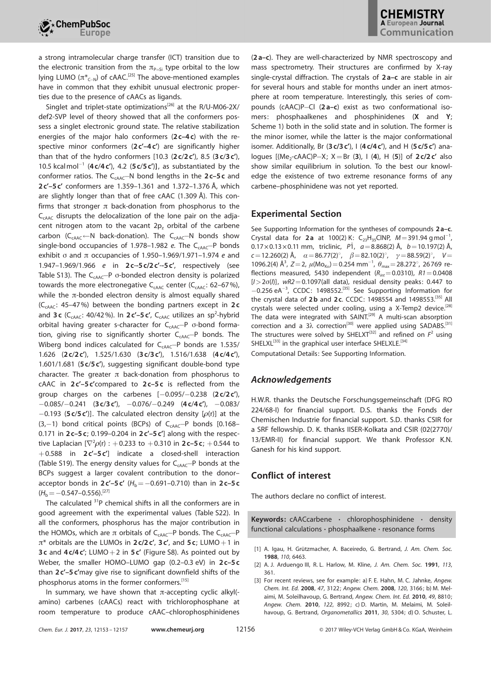

a strong intramolecular charge transfer (ICT) transition due to the electronic transition from the  $\pi_{P=Si}$  type orbital to the low lying LUMO ( $\pi^{*}_{C-N}$ ) of cAAC.<sup>[25]</sup> The above-mentioned examples have in common that they exhibit unusual electronic properties due to the presence of cAACs as ligands.

Singlet and triplet-state optimizations<sup>[26]</sup> at the R/U-M06-2X/ def2-SVP level of theory showed that all the conformers possess a singlet electronic ground state. The relative stabilization energies of the major halo conformers  $(2c-4c)$  with the respective minor conformers  $(2 c' - 4 c')$  are significantly higher than that of the hydro conformers  $[10.3 (2c/2c')$ , 8.5  $(3c/3c')$ , 10.5 kcalmol<sup>-1</sup> (4 c/4 c'), 4.2 (5 c/5 c')], as substantiated by the conformer ratios. The  $C_{cAAC}$ -N bond lengths in the 2c-5c and  $2c'$ – $5c'$  conformers are 1.359–1.361 and 1.372–1.376 Å, which are slightly longer than that of free cAAC  $(1.309 \text{ Å})$ . This confirms that stronger  $\pi$  back-donation from phosphorus to the  $C_{cABC}$  disrupts the delocalization of the lone pair on the adjacent nitrogen atom to the vacant  $2p<sub>z</sub>$  orbital of the carbene  $carbon (C_{cAAC} \leftarrow N$  back-donation). The  $C_{cAAC} \leftarrow N$  bonds show single-bond occupancies of 1.978-1.982 e. The  $C_{cAAC}$ -P bonds exhibit  $\sigma$  and  $\pi$  occupancies of 1.950–1.969/1.971–1.974 e and 1.947–1.969/1.966 e in 2 c--5c/2c'--5c', respectively (see Table S13). The  $C_{cAAC}$ -P  $\sigma$ -bonded electron density is polarized towards the more electronegative  $C_{cAAC}$  center ( $C_{cAAC}$ : 62–67%), while the  $\pi$ -bonded electron density is almost equally shared ( $C_{cAAC}$ : 45–47%) between the bonding partners except in 2c and 3c ( $C_{\text{cAAC}}$ : 40/42%). In 2c'-5c',  $C_{\text{cAAC}}$  utilizes an sp<sup>2</sup>-hybrid orbital having greater s-character for  $C_{cAAC}$ -P  $\sigma$ -bond formation, giving rise to significantly shorter  $C_{cAA}$  $-P$  bonds. The Wiberg bond indices calculated for  $C_{cAAC}$ -P bonds are 1.535/ 1.626 (2 c/2 c'), 1.525/1.630 (3 c/3 c'), 1.516/1.638 (4 c/4 c'), 1.601/1.681 (5c/5c'), suggesting significant double-bond type character. The greater  $\pi$  back-donation from phosphorus to cAAC in 2c'-5c'compared to 2c-5c is reflected from the group charges on the carbenes  $[-0.095/-0.238$   $(2c/2c')$ ,  $-0.085/-0.241$  (3 c/3 c'),  $-0.076/-0.249$  (4 c/4 c'),  $-0.083/$  $-0.193$  (5 c/5 c')]. The calculated electron density [ $\rho(r)$ ] at the  $(3,-1)$  bond critical points (BCPs) of C<sub>CAAC</sub>-P bonds [0.168– 0.171 in 2c-5c; 0.199-0.204 in 2c'-5c'] along with the respective Laplacian [ $\nabla^2 \rho$ (r) :  $+$  0.233 to  $+$  0.310 in **2 c–5 c**;  $+$  0.544 to  $+0.588$  in  $2c'-5c'$ ] indicate a closed-shell interaction (Table S19). The energy density values for  $C_{cAAC}$ -P bonds at the BCPs suggest a larger covalent contribution to the donor– acceptor bonds in  $2c'$ –5c' ( $H_b$ =-0.691–0.710) than in 2c–5c  $(H_b=-0.547-0.556).$ <sup>[27]</sup>

The calculated <sup>31</sup>P chemical shifts in all the conformers are in good agreement with the experimental values (Table S22). In all the conformers, phosphorus has the major contribution in the HOMOs, which are  $\pi$  orbitals of C<sub>CAAC</sub>-P bonds. The C<sub>CAAC</sub>-P  $\pi^*$  orbitals are the LUMOs in 2c/2c', 3c', and 5c; LUMO+1 in 3c and  $4c/4c'$ ; LUMO + 2 in 5c' (Figure S8). As pointed out by Weber, the smaller HOMO–LUMO gap (0.2–0.3 eV) in 2c-5c than 2c'-5c'may give rise to significant downfield shifts of the phosphorus atoms in the former conformers.<sup>[15]</sup>

In summary, we have shown that  $\pi$ -accepting cyclic alkyl(amino) carbenes (cAACs) react with trichlorophosphane at room temperature to produce cAAC–chlorophosphinidenes

(2 a–c). They are well-characterized by NMR spectroscopy and mass spectrometry. Their structures are confirmed by X-ray single-crystal diffraction. The crystals of 2a-c are stable in air for several hours and stable for months under an inert atmosphere at room temperature. Interestingly, this series of compounds ( $c$ AAC)P-Cl ( $2a-c$ ) exist as two conformational isomers: phosphaalkenes and phosphinidenes (X and Y; Scheme 1) both in the solid state and in solution. The former is the minor isomer, while the latter is the major conformational isomer. Additionally, Br (3 c/3 c'), I (4 c/4 c'), and H (5 c/5 c') analogues [(Me<sub>2</sub>-cAAC)P-X;  $X = Br$  (3), I (4), H (5)] of 2 c/2 c' also show similar equilibrium in solution. To the best our knowledge the existence of two extreme resonance forms of any carbene–phosphinidene was not yet reported.

### Experimental Section

See Supporting Information for the syntheses of compounds 2a-c. Crystal data for **2a** at 100(2) K: C<sub>23</sub>H<sub>35</sub>ClNP,  $M = 391.94$  gmol<sup>-1</sup>,  $0.17 \times 0.13 \times 0.11$  mm, triclinic,  $P\bar{1}$ ,  $a = 8.868(2)$  Å,  $b = 10.197(2)$  Å,  $c=12.260(2)$  Å,  $\alpha=86.77(2)^\circ$ ,  $\beta=82.10(2)^\circ$ ,  $\gamma=88.59(2)^\circ$ ,  $V=$ 1096.2(4)  $\hat{A}^3$ ,  $Z = 2$ ,  $\mu$ (Mo<sub>Kα</sub>) = 0.254 mm<sup>-1</sup>,  $\theta_{\text{max}} = 28.272^{\circ}$ , 26769 reflections measured, 5430 independent  $(R<sub>int</sub>=0.0310)$ ,  $R1=0.0408$  $[I>2\sigma(I)]$ , wR2=0.1097(all data), residual density peaks: 0.447 to  $-0.256$  eA<sup>-3</sup>, CCDC: 1498552.<sup>[35]</sup> See Supporting Information for the crystal data of 2b and 2c. CCDC: 1498554 and 1498553.<sup>[35]</sup> All crystals were selected under cooling, using a X-Temp2 device.<sup>[28]</sup> The data were integrated with SAINT.<sup>[29]</sup> A multi-scan absorption correction and a 3 $\lambda$  correction<sup>[30]</sup> were applied using SADABS.<sup>[31]</sup> The structures were solved by SHELXT<sup>[32]</sup> and refined on  $F^2$  using SHELXL<sup>[33]</sup> in the graphical user interface SHELXLE.<sup>[34]</sup>

Computational Details: See Supporting Information.

### Acknowledgements

H.W.R. thanks the Deutsche Forschungsgemeinschaft (DFG RO 224/68-I) for financial support. D.S. thanks the Fonds der Chemischen Industrie for financial support. S.D. thanks CSIR for a SRF fellowship. D. K. thanks IISER-Kolkata and CSIR (02(2770)/ 13/EMR-II) for financial support. We thank Professor K.N. Ganesh for his kind support.

### Conflict of interest

The authors declare no conflict of interest.

Keywords: cAACcarbene · chlorophosphinidene · density functional calculations · phosphaalkene · resonance forms

<sup>[1]</sup> A. Igau, H. Grützmacher, A. Baceiredo, G. Bertrand, J. Am. [Chem.](https://doi.org/10.1021/ja00227a028) Soc. 1988, 110[, 6463.](https://doi.org/10.1021/ja00227a028)

<sup>[2]</sup> A. J. Arduengo III, R. L. Harlow, M. Kline, J. Am. [Chem.](https://doi.org/10.1021/ja00001a054) Soc. 1991, 113, [361.](https://doi.org/10.1021/ja00001a054)

<sup>[3]</sup> For recent reviews, see for example: a) F. E. Hahn, M. C. Jahnke, [Angew.](https://doi.org/10.1002/anie.200703883) Chem. Int. Ed. 2008, 47[, 3122](https://doi.org/10.1002/anie.200703883); [Angew. Chem.](https://doi.org/10.1002/ange.200703883) 2008, 120, 3166; b) M. Melaimi, M. Soleilhavoup, G. Bertrand, [Angew. Chem.](https://doi.org/10.1002/anie.201000165) Int. Ed. 2010, 49, 8810; [Angew. Chem.](https://doi.org/10.1002/ange.201000165) 2010, 122, 8992; c) D. Martin, M. Melaimi, M. Soleilhavoup, G. Bertrand, [Organometallics](https://doi.org/10.1021/om200650x) 2011, 30, 5304; d) O. Schuster, L.